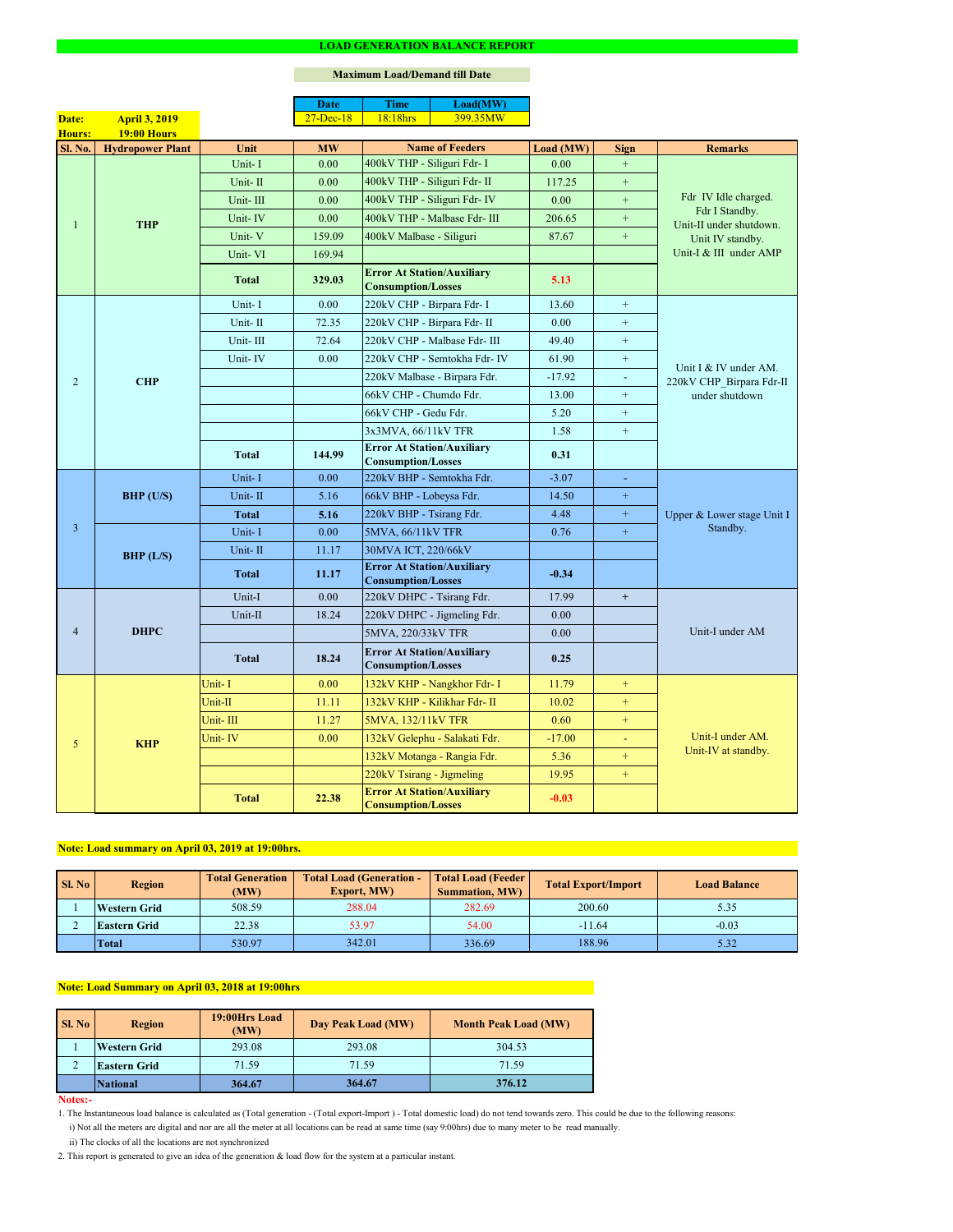#### **Notes:-**

|                |                         |              | <b>Date</b>  | <b>Time</b>                                                    | Load(MW)                      |           |                  |                                                                   |  |
|----------------|-------------------------|--------------|--------------|----------------------------------------------------------------|-------------------------------|-----------|------------------|-------------------------------------------------------------------|--|
| Date:          | <b>April 3, 2019</b>    |              | $27$ -Dec-18 | 18:18hrs                                                       | 399.35MW                      |           |                  |                                                                   |  |
| Hours:         | <b>19:00 Hours</b>      |              |              |                                                                |                               |           |                  |                                                                   |  |
| <b>Sl. No.</b> | <b>Hydropower Plant</b> | Unit         | <b>MW</b>    |                                                                | <b>Name of Feeders</b>        | Load (MW) | <b>Sign</b>      | <b>Remarks</b>                                                    |  |
|                |                         | Unit-I       | 0.00         | 400kV THP - Siliguri Fdr- I                                    |                               | 0.00      | $+$              |                                                                   |  |
|                |                         | Unit-II      | 0.00         | 400kV THP - Siliguri Fdr- II                                   |                               | 117.25    | $+$              | Fdr IV Idle charged.<br>Fdr I Standby.<br>Unit-II under shutdown. |  |
|                |                         | Unit-III     | 0.00         |                                                                | 400kV THP - Siliguri Fdr- IV  | 0.00      | $+$              |                                                                   |  |
|                | <b>THP</b>              | Unit-IV      | 0.00         |                                                                | 400kV THP - Malbase Fdr- III  | 206.65    | $+$              |                                                                   |  |
|                |                         | Unit-V       | 159.09       | 400kV Malbase - Siliguri                                       |                               | 87.67     | $+$              | Unit IV standby.                                                  |  |
|                |                         | Unit-VI      | 169.94       |                                                                |                               |           |                  | Unit-I & III under AMP                                            |  |
|                |                         | <b>Total</b> | 329.03       | <b>Error At Station/Auxiliary</b><br><b>Consumption/Losses</b> |                               | 5.13      |                  |                                                                   |  |
|                |                         | Unit-I       | 0.00         | 220kV CHP - Birpara Fdr- I                                     |                               | 13.60     | $+$              |                                                                   |  |
|                |                         | Unit-II      | 72.35        |                                                                | 220kV CHP - Birpara Fdr- II   | 0.00      | $+$              |                                                                   |  |
|                |                         | Unit-III     | 72.64        |                                                                | 220kV CHP - Malbase Fdr- III  | 49.40     | $+$              |                                                                   |  |
|                |                         | Unit-IV      | 0.00         |                                                                | 220kV CHP - Semtokha Fdr- IV  | 61.90     | $+$              |                                                                   |  |
| $\overline{2}$ | <b>CHP</b>              |              |              |                                                                | 220kV Malbase - Birpara Fdr.  | $-17.92$  | $\sim$           | Unit I & IV under AM.<br>220kV CHP_Birpara Fdr-II                 |  |
|                |                         |              |              | 66kV CHP - Chumdo Fdr.                                         |                               | 13.00     | $+$              | under shutdown                                                    |  |
|                |                         |              |              | 66kV CHP - Gedu Fdr.                                           |                               | 5.20      | $+$              |                                                                   |  |
|                |                         |              |              | 3x3MVA, 66/11kV TFR                                            |                               | 1.58      | $\boldsymbol{+}$ |                                                                   |  |
|                |                         | <b>Total</b> | 144.99       | <b>Error At Station/Auxiliary</b><br><b>Consumption/Losses</b> |                               | 0.31      |                  |                                                                   |  |
|                | <b>BHP</b> (U/S)        | Unit-I       | 0.00         | 220kV BHP - Semtokha Fdr.                                      |                               | $-3.07$   | $\omega$         | Upper & Lower stage Unit I<br>Standby.                            |  |
|                |                         | Unit-II      | 5.16         | 66kV BHP - Lobeysa Fdr.                                        |                               | 14.50     | $\boldsymbol{+}$ |                                                                   |  |
|                |                         | Total        | 5.16         | 220kV BHP - Tsirang Fdr.                                       |                               | 4.48      | $+$              |                                                                   |  |
| $\overline{3}$ |                         | Unit-I       | 0.00         | 5MVA, 66/11kV TFR                                              |                               | 0.76      | $+$              |                                                                   |  |
|                |                         | Unit-II      | 11.17        | 30MVA ICT, 220/66kV                                            |                               |           |                  |                                                                   |  |
|                | BHP (L/S)               |              |              | <b>Error At Station/Auxiliary</b>                              |                               |           |                  |                                                                   |  |
|                |                         | <b>Total</b> | 11.17        | <b>Consumption/Losses</b>                                      |                               | $-0.34$   |                  |                                                                   |  |
|                | <b>DHPC</b>             | Unit-I       | 0.00         | 220kV DHPC - Tsirang Fdr.                                      |                               | 17.99     | $+$              |                                                                   |  |
|                |                         | Unit-II      | 18.24        |                                                                | 220kV DHPC - Jigmeling Fdr.   | 0.00      |                  |                                                                   |  |
| $\overline{4}$ |                         |              |              | 5MVA, 220/33kV TFR                                             |                               | 0.00      |                  | Unit-I under AM                                                   |  |
|                |                         | <b>Total</b> | 18.24        | <b>Error At Station/Auxiliary</b><br><b>Consumption/Losses</b> |                               | 0.25      |                  |                                                                   |  |
|                |                         | Unit-I       | 0.00         |                                                                | 132kV KHP - Nangkhor Fdr- I   | 11.79     | $+$              |                                                                   |  |
|                |                         | Unit-II      | 11.11        |                                                                | 132kV KHP - Kilikhar Fdr- II  | 10.02     | $+$              |                                                                   |  |
|                | <b>KHP</b>              | Unit-III     | 11.27        | 5MVA, 132/11kV TFR                                             |                               | 0.60      | $+$              |                                                                   |  |
| 5              |                         | Unit-IV      | 0.00         |                                                                | 132kV Gelephu - Salakati Fdr. | $-17.00$  | $\sim$           | Unit-I under AM.                                                  |  |
|                |                         |              |              |                                                                | 132kV Motanga - Rangia Fdr.   | 5.36      | $+$              | Unit-IV at standby.                                               |  |
|                |                         |              |              | 220kV Tsirang - Jigmeling                                      |                               | 19.95     | $+$              |                                                                   |  |
|                |                         | <b>Total</b> | 22.38        | <b>Error At Station/Auxiliary</b><br><b>Consumption/Losses</b> |                               | $-0.03$   |                  |                                                                   |  |

#### **LOAD GENERATION BALANCE REPORT**

| Sl. No | <b>Total Generation</b><br><b>Region</b><br>(MW) |        | <b>Total Load (Generation -</b><br><b>Export, MW)</b> | <b>Total Load (Feeder)</b><br><b>Summation, MW)</b> | <b>Total Export/Import</b> | <b>Load Balance</b> |
|--------|--------------------------------------------------|--------|-------------------------------------------------------|-----------------------------------------------------|----------------------------|---------------------|
|        | <b>Western Grid</b>                              | 508.59 | 288.04                                                | 282.69                                              | 200.60                     | 5.35                |
|        | 53.97<br>22.38<br><b>Eastern Grid</b>            |        | 54.00                                                 | $-11.64$                                            | $-0.03$                    |                     |
|        | <b>Total</b>                                     | 530.97 | 342.01                                                | 336.69                                              | 188.96                     | 5.32                |

| <b>Sl. No</b> | <b>Region</b>       | 19:00Hrs Load<br>(MW) | Day Peak Load (MW) | <b>Month Peak Load (MW)</b> |  |
|---------------|---------------------|-----------------------|--------------------|-----------------------------|--|
|               | <b>Western Grid</b> | 293.08                | 293.08             | 304.53                      |  |
|               | <b>Eastern Grid</b> | 71.59                 | 71.59              | 71.59                       |  |
|               | <b>National</b>     | 364.67                | 364.67             | 376.12                      |  |

# **Note: Load Summary on April 03, 2018 at 19:00hrs**

# **Note: Load summary on April 03, 2019 at 19:00hrs.**

- 1. The Instantaneous load balance is calculated as (Total generation (Total export-Import ) Total domestic load) do not tend towards zero. This could be due to the following reasons:
	- i) Not all the meters are digital and nor are all the meter at all locations can be read at same time (say 9:00hrs) due to many meter to be read manually.
	- ii) The clocks of all the locations are not synchronized
- 2. This report is generated to give an idea of the generation & load flow for the system at a particular instant.

### **Maximum Load/Demand till Date**